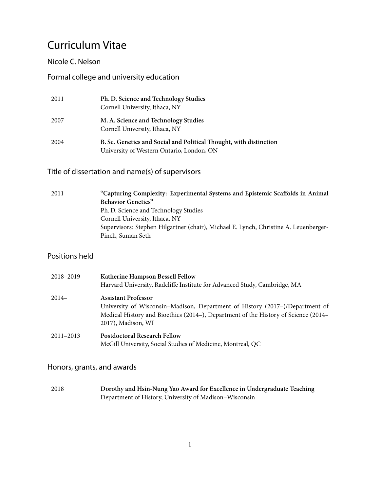# Curriculum Vitae

## Nicole C. Nelson

# Formal college and university education

| 2011 | Ph. D. Science and Technology Studies<br>Cornell University, Ithaca, NY                                         |
|------|-----------------------------------------------------------------------------------------------------------------|
| 2007 | M. A. Science and Technology Studies<br>Cornell University, Ithaca, NY                                          |
| 2004 | B. Sc. Genetics and Social and Political Thought, with distinction<br>University of Western Ontario, London, ON |

# Title of dissertation and name(s) of supervisors

| "Capturing Complexity: Experimental Systems and Epistemic Scaffolds in Animal        |
|--------------------------------------------------------------------------------------|
| <b>Behavior Genetics</b> "                                                           |
| Ph. D. Science and Technology Studies                                                |
| Cornell University, Ithaca, NY                                                       |
| Supervisors: Stephen Hilgartner (chair), Michael E. Lynch, Christine A. Leuenberger- |
| Pinch, Suman Seth                                                                    |
|                                                                                      |

## Positions held

| 2018-2019     | Katherine Hampson Bessell Fellow<br>Harvard University, Radcliffe Institute for Advanced Study, Cambridge, MA                                                                                                          |
|---------------|------------------------------------------------------------------------------------------------------------------------------------------------------------------------------------------------------------------------|
| $2014-$       | <b>Assistant Professor</b><br>University of Wisconsin-Madison, Department of History (2017–)/Department of<br>Medical History and Bioethics (2014–), Department of the History of Science (2014–<br>2017), Madison, WI |
| $2011 - 2013$ | <b>Postdoctoral Research Fellow</b><br>McGill University, Social Studies of Medicine, Montreal, QC                                                                                                                     |

# Honors, grants, and awards

2018 **Dorothy and Hsin-Nung Yao Award for Excellence in Undergraduate Teaching** Department of History, University of Madison–Wisconsin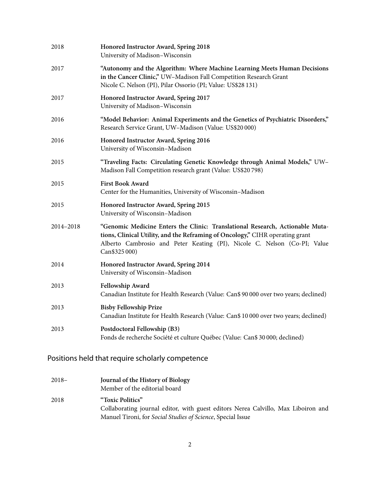| 2018      | Honored Instructor Award, Spring 2018<br>University of Madison-Wisconsin                                                                                                                                                                                     |
|-----------|--------------------------------------------------------------------------------------------------------------------------------------------------------------------------------------------------------------------------------------------------------------|
| 2017      | "Autonomy and the Algorithm: Where Machine Learning Meets Human Decisions<br>in the Cancer Clinic," UW-Madison Fall Competition Research Grant<br>Nicole C. Nelson (PI), Pilar Ossorio (PI; Value: US\$28 131)                                               |
| 2017      | Honored Instructor Award, Spring 2017<br>University of Madison-Wisconsin                                                                                                                                                                                     |
| 2016      | "Model Behavior: Animal Experiments and the Genetics of Psychiatric Disorders,"<br>Research Service Grant, UW-Madison (Value: US\$20 000)                                                                                                                    |
| 2016      | Honored Instructor Award, Spring 2016<br>University of Wisconsin-Madison                                                                                                                                                                                     |
| 2015      | "Traveling Facts: Circulating Genetic Knowledge through Animal Models," UW-<br>Madison Fall Competition research grant (Value: US\$20798)                                                                                                                    |
| 2015      | <b>First Book Award</b><br>Center for the Humanities, University of Wisconsin-Madison                                                                                                                                                                        |
| 2015      | Honored Instructor Award, Spring 2015<br>University of Wisconsin-Madison                                                                                                                                                                                     |
| 2014-2018 | "Genomic Medicine Enters the Clinic: Translational Research, Actionable Muta-<br>tions, Clinical Utility, and the Reframing of Oncology," CIHR operating grant<br>Alberto Cambrosio and Peter Keating (PI), Nicole C. Nelson (Co-PI; Value<br>Can \$325 000) |
| 2014      | Honored Instructor Award, Spring 2014<br>University of Wisconsin-Madison                                                                                                                                                                                     |
| 2013      | Fellowship Award<br>Canadian Institute for Health Research (Value: Can\$ 90 000 over two years; declined)                                                                                                                                                    |
| 2013      | <b>Bisby Fellowship Prize</b><br>Canadian Institute for Health Research (Value: Can\$ 10 000 over two years; declined)                                                                                                                                       |
| 2013      | Postdoctoral Fellowship (B3)<br>Fonds de recherche Société et culture Québec (Value: Can\$ 30 000; declined)                                                                                                                                                 |

# Positions held that require scholarly competence

| $2018-$ | Journal of the History of Biology                                                 |
|---------|-----------------------------------------------------------------------------------|
|         | Member of the editorial board                                                     |
| 2018    | "Toxic Politics"                                                                  |
|         | Collaborating journal editor, with guest editors Nerea Calvillo, Max Liboiron and |
|         | Manuel Tironi, for Social Studies of Science, Special Issue                       |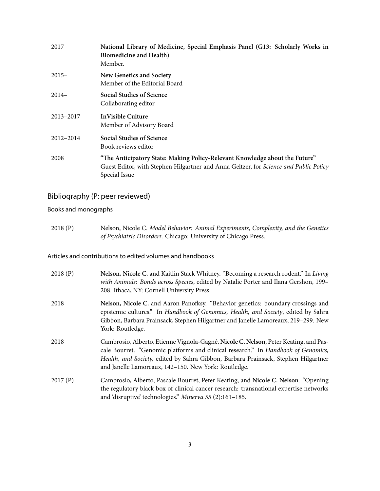| 2017      | National Library of Medicine, Special Emphasis Panel (G13: Scholarly Works in<br><b>Biomedicine and Health)</b><br>Member.                                                            |
|-----------|---------------------------------------------------------------------------------------------------------------------------------------------------------------------------------------|
| $2015-$   | New Genetics and Society<br>Member of the Editorial Board                                                                                                                             |
| $2014-$   | <b>Social Studies of Science</b><br>Collaborating editor                                                                                                                              |
| 2013-2017 | In Visible Culture<br>Member of Advisory Board                                                                                                                                        |
| 2012-2014 | <b>Social Studies of Science</b><br>Book reviews editor                                                                                                                               |
| 2008      | "The Anticipatory State: Making Policy-Relevant Knowledge about the Future"<br>Guest Editor, with Stephen Hilgartner and Anna Geltzer, for Science and Public Policy<br>Special Issue |

# Bibliography (P: peer reviewed)

Books and monographs

2018 (P) Nelson, Nicole C. *Model Behavior: Animal Experiments, Complexity, and the Genetics of Psychiatric Disorders*. Chicago: University of Chicago Press.

Articles and contributions to edited volumes and handbooks

| 2018(P) | Nelson, Nicole C. and Kaitlin Stack Whitney. "Becoming a research rodent." In Living<br>with Animals: Bonds across Species, edited by Natalie Porter and Ilana Gershon, 199-<br>208. Ithaca, NY: Cornell University Press.                                                                                              |
|---------|-------------------------------------------------------------------------------------------------------------------------------------------------------------------------------------------------------------------------------------------------------------------------------------------------------------------------|
| 2018    | Nelson, Nicole C. and Aaron Panofksy. "Behavior genetics: boundary crossings and<br>epistemic cultures." In Handbook of Genomics, Health, and Society, edited by Sahra<br>Gibbon, Barbara Prainsack, Stephen Hilgartner and Janelle Lamoreaux, 219-299. New<br>York: Routledge.                                         |
| 2018    | Cambrosio, Alberto, Etienne Vignola-Gagné, Nicole C. Nelson, Peter Keating, and Pas-<br>cale Bourret. "Genomic platforms and clinical research." In Handbook of Genomics,<br>Health, and Society, edited by Sahra Gibbon, Barbara Prainsack, Stephen Hilgartner<br>and Janelle Lamoreaux, 142-150. New York: Routledge. |
| 2017(P) | Cambrosio, Alberto, Pascale Bourret, Peter Keating, and Nicole C. Nelson. "Opening<br>the regulatory black box of clinical cancer research: transnational expertise networks<br>and 'disruptive' technologies." Minerva 55 (2):161-185.                                                                                 |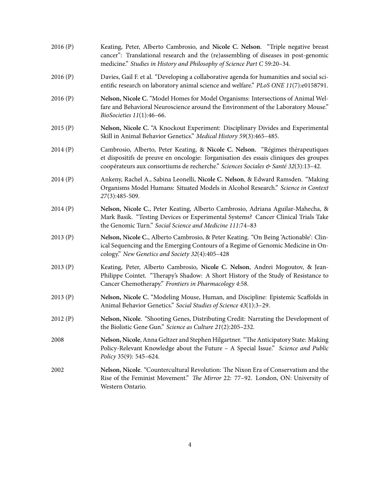| 2016(P) | Keating, Peter, Alberto Cambrosio, and Nicole C. Nelson. "Triple negative breast<br>cancer": Translational research and the (re)assembling of diseases in post-genomic<br>medicine." Studies in History and Philosophy of Science Part C 59:20-34.             |
|---------|----------------------------------------------------------------------------------------------------------------------------------------------------------------------------------------------------------------------------------------------------------------|
| 2016(P) | Davies, Gail F. et al. "Developing a collaborative agenda for humanities and social sci-<br>entific research on laboratory animal science and welfare." PLoS ONE 11(7):e0158791.                                                                               |
| 2016(P) | Nelson, Nicole C. "Model Homes for Model Organisms: Intersections of Animal Wel-<br>fare and Behavioral Neuroscience around the Environment of the Laboratory Mouse."<br>BioSocieties 11(1):46-66.                                                             |
| 2015(P) | Nelson, Nicole C. "A Knockout Experiment: Disciplinary Divides and Experimental<br>Skill in Animal Behavior Genetics." Medical History 59(3):465-485.                                                                                                          |
| 2014(P) | Cambrosio, Alberto, Peter Keating, & Nicole C. Nelson. "Régimes thérapeutiques<br>et dispositifs de preuve en oncologie: l'organisation des essais cliniques des groupes<br>coopérateurs aux consortiums de recherche." Sciences Sociales & Santé 32(3):13-42. |
| 2014(P) | Ankeny, Rachel A., Sabina Leonelli, Nicole C. Nelson, & Edward Ramsden. "Making<br>Organisms Model Humans: Situated Models in Alcohol Research." Science in Context<br>27(3):485-509.                                                                          |
| 2014(P) | Nelson, Nicole C., Peter Keating, Alberto Cambrosio, Adriana Aguilar-Mahecha, &<br>Mark Basik. "Testing Devices or Experimental Systems? Cancer Clinical Trials Take<br>the Genomic Turn." Social Science and Medicine 111:74-83                               |
| 2013(P) | Nelson, Nicole C., Alberto Cambrosio, & Peter Keating. "On Being 'Actionable': Clin-<br>ical Sequencing and the Emerging Contours of a Regime of Genomic Medicine in On-<br>cology." New Genetics and Society 32(4):405-428                                    |
| 2013(P) | Keating, Peter, Alberto Cambrosio, Nicole C. Nelson, Andrei Mogoutov, & Jean-<br>Philippe Cointet. "Therapy's Shadow: A Short History of the Study of Resistance to<br>Cancer Chemotherapy." Frontiers in Pharmacology 4:58.                                   |
| 2013(P) | Nelson, Nicole C. "Modeling Mouse, Human, and Discipline: Epistemic Scaffolds in<br>Animal Behavior Genetics." Social Studies of Science 43(1):3-29.                                                                                                           |
| 2012(P) | Nelson, Nicole. "Shooting Genes, Distributing Credit: Narrating the Development of<br>the Biolistic Gene Gun." Science as Culture 21(2):205-232.                                                                                                               |
| 2008    | Nelson, Nicole, Anna Geltzer and Stephen Hilgartner. "The Anticipatory State: Making<br>Policy-Relevant Knowledge about the Future - A Special Issue." Science and Public<br>Policy 35(9): 545–624.                                                            |
| 2002    | Nelson, Nicole. "Countercultural Revolution: The Nixon Era of Conservatism and the<br>Rise of the Feminist Movement." The Mirror 22: 77-92. London, ON: University of<br>Western Ontario.                                                                      |
|         |                                                                                                                                                                                                                                                                |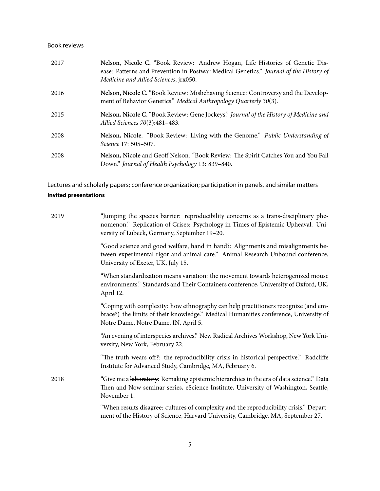#### Book reviews

| 2017 | Nelson, Nicole C. "Book Review: Andrew Hogan, Life Histories of Genetic Dis-<br>ease: Patterns and Prevention in Postwar Medical Genetics." Journal of the History of<br>Medicine and Allied Sciences, jrx050. |
|------|----------------------------------------------------------------------------------------------------------------------------------------------------------------------------------------------------------------|
| 2016 | Nelson, Nicole C. "Book Review: Misbehaving Science: Controversy and the Develop-<br>ment of Behavior Genetics." Medical Anthropology Quarterly 30(3).                                                         |
| 2015 | Nelson, Nicole C. "Book Review: Gene Jockeys." Journal of the History of Medicine and<br>Allied Sciences 70(3):481-483.                                                                                        |
| 2008 | Nelson, Nicole. "Book Review: Living with the Genome." Public Understanding of<br>Science 17: 505-507.                                                                                                         |
| 2008 | Nelson, Nicole and Geoff Nelson. "Book Review: The Spirit Catches You and You Fall<br>Down." Journal of Health Psychology 13: 839-840.                                                                         |

Lectures and scholarly papers; conference organization; participation in panels, and similar matters

## **Invited presentations**

| 2019 | "Jumping the species barrier: reproducibility concerns as a trans-disciplinary phe-<br>nomenon." Replication of Crises: Psychology in Times of Epistemic Upheaval. Uni-<br>versity of Lübeck, Germany, September 19-20. |
|------|-------------------------------------------------------------------------------------------------------------------------------------------------------------------------------------------------------------------------|
|      | "Good science and good welfare, hand in hand?: Alignments and misalignments be-<br>tween experimental rigor and animal care." Animal Research Unbound conference,<br>University of Exeter, UK, July 15.                 |
|      | "When standardization means variation: the movement towards heterogenized mouse<br>environments." Standards and Their Containers conference, University of Oxford, UK,<br>April 12.                                     |
|      | "Coping with complexity: how ethnography can help practitioners recognize (and em-<br>brace?) the limits of their knowledge." Medical Humanities conference, University of<br>Notre Dame, Notre Dame, IN, April 5.      |
|      | "An evening of interspecies archives." New Radical Archives Workshop, New York Uni-<br>versity, New York, February 22.                                                                                                  |
|      | "The truth wears off?: the reproducibility crisis in historical perspective." Radcliffe<br>Institute for Advanced Study, Cambridge, MA, February 6.                                                                     |
| 2018 | "Give me a laboratory: Remaking epistemic hierarchies in the era of data science." Data<br>Then and Now seminar series, eScience Institute, University of Washington, Seattle,<br>November 1.                           |
|      | "When results disagree: cultures of complexity and the reproducibility crisis." Depart-<br>ment of the History of Science, Harvard University, Cambridge, MA, September 27.                                             |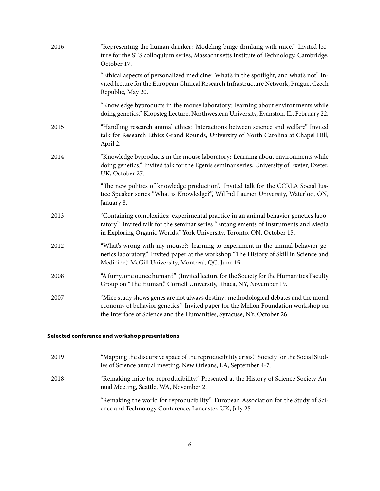| 2016 | "Representing the human drinker: Modeling binge drinking with mice." Invited lec-<br>ture for the STS colloquium series, Massachusetts Institute of Technology, Cambridge,<br>October 17.                                                               |
|------|---------------------------------------------------------------------------------------------------------------------------------------------------------------------------------------------------------------------------------------------------------|
|      | "Ethical aspects of personalized medicine: What's in the spotlight, and what's not" In-<br>vited lecture for the European Clinical Research Infrastructure Network, Prague, Czech<br>Republic, May 20.                                                  |
|      | "Knowledge byproducts in the mouse laboratory: learning about environments while<br>doing genetics." Klopsteg Lecture, Northwestern University, Evanston, IL, February 22.                                                                              |
| 2015 | "Handling research animal ethics: Interactions between science and welfare" Invited<br>talk for Research Ethics Grand Rounds, University of North Carolina at Chapel Hill,<br>April 2.                                                                  |
| 2014 | "Knowledge byproducts in the mouse laboratory: Learning about environments while<br>doing genetics." Invited talk for the Egenis seminar series, University of Exeter, Exeter,<br>UK, October 27.                                                       |
|      | "The new politics of knowledge production". Invited talk for the CCRLA Social Jus-<br>tice Speaker series "What is Knowledge?", Wilfrid Laurier University, Waterloo, ON,<br>January 8.                                                                 |
| 2013 | "Containing complexities: experimental practice in an animal behavior genetics labo-<br>ratory." Invited talk for the seminar series "Entanglements of Instruments and Media<br>in Exploring Organic Worlds," York University, Toronto, ON, October 15. |
| 2012 | "What's wrong with my mouse?: learning to experiment in the animal behavior ge-<br>netics laboratory." Invited paper at the workshop "The History of Skill in Science and<br>Medicine," McGill University, Montreal, QC, June 15.                       |
| 2008 | "A furry, one ounce human?" (Invited lecture for the Society for the Humanities Faculty<br>Group on "The Human," Cornell University, Ithaca, NY, November 19.                                                                                           |
| 2007 | "Mice study shows genes are not always destiny: methodological debates and the moral<br>economy of behavior genetics." Invited paper for the Mellon Foundation workshop on<br>the Interface of Science and the Humanities, Syracuse, NY, October 26.    |

#### **Selected conference and workshop presentations**

| 2019 | "Mapping the discursive space of the reproducibility crisis." Society for the Social Stud-<br>ies of Science annual meeting, New Orleans, LA, September 4-7. |
|------|--------------------------------------------------------------------------------------------------------------------------------------------------------------|
| 2018 | "Remaking mice for reproducibility." Presented at the History of Science Society An-<br>nual Meeting, Seattle, WA, November 2.                               |
|      | "Remaking the world for reproducibility." European Association for the Study of Sci-<br>ence and Technology Conference, Lancaster, UK, July 25               |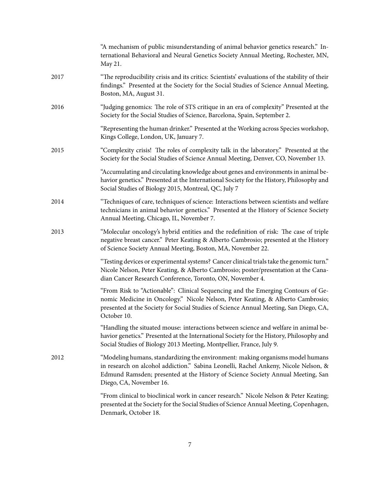|      | "A mechanism of public misunderstanding of animal behavior genetics research." In-<br>ternational Behavioral and Neural Genetics Society Annual Meeting, Rochester, MN,<br>May 21.                                                                                                  |
|------|-------------------------------------------------------------------------------------------------------------------------------------------------------------------------------------------------------------------------------------------------------------------------------------|
| 2017 | "The reproducibility crisis and its critics: Scientists' evaluations of the stability of their<br>findings." Presented at the Society for the Social Studies of Science Annual Meeting,<br>Boston, MA, August 31.                                                                   |
| 2016 | "Judging genomics: The role of STS critique in an era of complexity" Presented at the<br>Society for the Social Studies of Science, Barcelona, Spain, September 2.                                                                                                                  |
|      | "Representing the human drinker." Presented at the Working across Species workshop,<br>Kings College, London, UK, January 7.                                                                                                                                                        |
| 2015 | "Complexity crisis! The roles of complexity talk in the laboratory." Presented at the<br>Society for the Social Studies of Science Annual Meeting, Denver, CO, November 13.                                                                                                         |
|      | "Accumulating and circulating knowledge about genes and environments in animal be-<br>havior genetics." Presented at the International Society for the History, Philosophy and<br>Social Studies of Biology 2015, Montreal, QC, July 7                                              |
| 2014 | "Techniques of care, techniques of science: Interactions between scientists and welfare<br>technicians in animal behavior genetics." Presented at the History of Science Society<br>Annual Meeting, Chicago, IL, November 7.                                                        |
| 2013 | "Molecular oncology's hybrid entities and the redefinition of risk: The case of triple<br>negative breast cancer." Peter Keating & Alberto Cambrosio; presented at the History<br>of Science Society Annual Meeting, Boston, MA, November 22.                                       |
|      | "Testing devices or experimental systems? Cancer clinical trials take the genomic turn."<br>Nicole Nelson, Peter Keating, & Alberto Cambrosio; poster/presentation at the Cana-<br>dian Cancer Research Conference, Toronto, ON, November 4.                                        |
|      | "From Risk to "Actionable": Clinical Sequencing and the Emerging Contours of Ge-<br>nomic Medicine in Oncology." Nicole Nelson, Peter Keating, & Alberto Cambrosio;<br>presented at the Society for Social Studies of Science Annual Meeting, San Diego, CA,<br>October 10.         |
|      | "Handling the situated mouse: interactions between science and welfare in animal be-<br>havior genetics." Presented at the International Society for the History, Philosophy and<br>Social Studies of Biology 2013 Meeting, Montpellier, France, July 9.                            |
| 2012 | "Modeling humans, standardizing the environment: making organisms model humans<br>in research on alcohol addiction." Sabina Leonelli, Rachel Ankeny, Nicole Nelson, &<br>Edmund Ramsden; presented at the History of Science Society Annual Meeting, San<br>Diego, CA, November 16. |
|      | "From clinical to bioclinical work in cancer research." Nicole Nelson & Peter Keating;<br>presented at the Society for the Social Studies of Science Annual Meeting, Copenhagen,<br>Denmark, October 18.                                                                            |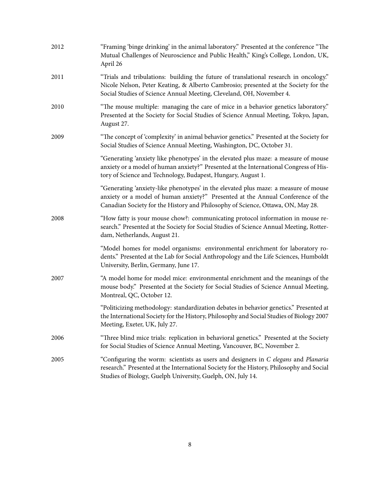| 2012 | "Framing 'binge drinking' in the animal laboratory." Presented at the conference "The<br>Mutual Challenges of Neuroscience and Public Health," King's College, London, UK,<br>April 26                                                                    |
|------|-----------------------------------------------------------------------------------------------------------------------------------------------------------------------------------------------------------------------------------------------------------|
| 2011 | "Trials and tribulations: building the future of translational research in oncology."<br>Nicole Nelson, Peter Keating, & Alberto Cambrosio; presented at the Society for the<br>Social Studies of Science Annual Meeting, Cleveland, OH, November 4.      |
| 2010 | "The mouse multiple: managing the care of mice in a behavior genetics laboratory."<br>Presented at the Society for Social Studies of Science Annual Meeting, Tokyo, Japan,<br>August 27.                                                                  |
| 2009 | "The concept of 'complexity' in animal behavior genetics." Presented at the Society for<br>Social Studies of Science Annual Meeting, Washington, DC, October 31.                                                                                          |
|      | "Generating 'anxiety like phenotypes' in the elevated plus maze: a measure of mouse<br>anxiety or a model of human anxiety?" Presented at the International Congress of His-<br>tory of Science and Technology, Budapest, Hungary, August 1.              |
|      | "Generating 'anxiety-like phenotypes' in the elevated plus maze: a measure of mouse<br>anxiety or a model of human anxiety?" Presented at the Annual Conference of the<br>Canadian Society for the History and Philosophy of Science, Ottawa, ON, May 28. |
| 2008 | "How fatty is your mouse chow?: communicating protocol information in mouse re-<br>search." Presented at the Society for Social Studies of Science Annual Meeting, Rotter-<br>dam, Netherlands, August 21.                                                |
|      | "Model homes for model organisms: environmental enrichment for laboratory ro-<br>dents." Presented at the Lab for Social Anthropology and the Life Sciences, Humboldt<br>University, Berlin, Germany, June 17.                                            |
| 2007 | "A model home for model mice: environmental enrichment and the meanings of the<br>mouse body." Presented at the Society for Social Studies of Science Annual Meeting,<br>Montreal, QC, October 12.                                                        |
|      | "Politicizing methodology: standardization debates in behavior genetics." Presented at<br>the International Society for the History, Philosophy and Social Studies of Biology 2007<br>Meeting, Exeter, UK, July 27.                                       |
| 2006 | "Three blind mice trials: replication in behavioral genetics." Presented at the Society<br>for Social Studies of Science Annual Meeting, Vancouver, BC, November 2.                                                                                       |
| 2005 | "Configuring the worm: scientists as users and designers in C elegans and Planaria<br>research." Presented at the International Society for the History, Philosophy and Social<br>Studies of Biology, Guelph University, Guelph, ON, July 14.             |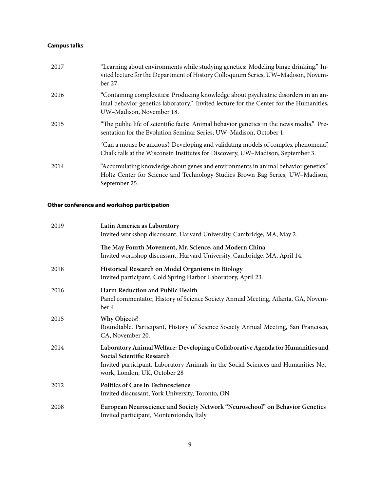## **Campus talks**

| 2017 | "Learning about environments while studying genetics: Modeling binge drinking." In-<br>vited lecture for the Department of History Colloquium Series, UW-Madison, Novem-<br>ber 27.                       |
|------|-----------------------------------------------------------------------------------------------------------------------------------------------------------------------------------------------------------|
| 2016 | "Containing complexities: Producing knowledge about psychiatric disorders in an an-<br>imal behavior genetics laboratory." Invited lecture for the Center for the Humanities,<br>UW-Madison, November 18. |
| 2015 | "The public life of scientific facts: Animal behavior genetics in the news media." Pre-<br>sentation for the Evolution Seminar Series, UW-Madison, October 1.                                             |
|      | "Can a mouse be anxious? Developing and validating models of complex phenomena",<br>Chalk talk at the Wisconsin Institutes for Discovery, UW-Madison, September 3.                                        |
| 2014 | "Accumulating knowledge about genes and environments in animal behavior genetics."<br>Holtz Center for Science and Technology Studies Brown Bag Series, UW-Madison,<br>September 25.                      |

### **Other conference and workshop participation**

| 2019 | Latin America as Laboratory<br>Invited workshop discussant, Harvard University, Cambridge, MA, May 2.                                                                                                                               |
|------|-------------------------------------------------------------------------------------------------------------------------------------------------------------------------------------------------------------------------------------|
|      | The May Fourth Movement, Mr. Science, and Modern China<br>Invited workshop discussant, Harvard University, Cambridge, MA, April 14.                                                                                                 |
| 2018 | Historical Research on Model Organisms in Biology<br>Invited participant, Cold Spring Harbor Laboratory, April 23.                                                                                                                  |
| 2016 | Harm Reduction and Public Health<br>Panel commentator, History of Science Society Annual Meeting, Atlanta, GA, Novem-<br>ber 4.                                                                                                     |
| 2015 | <b>Why Objects?</b><br>Roundtable, Participant, History of Science Society Annual Meeting, San Francisco,<br>CA, November 20.                                                                                                       |
| 2014 | Laboratory Animal Welfare: Developing a Collaborative Agenda for Humanities and<br>Social Scientific Research<br>Invited participant, Laboratory Animals in the Social Sciences and Humanities Net-<br>work, London, UK, October 28 |
| 2012 | Politics of Care in Technoscience<br>Invited discussant, York University, Toronto, ON                                                                                                                                               |
| 2008 | European Neuroscience and Society Network "Neuroschool" on Behavior Genetics<br>Invited participant, Monterotondo, Italy                                                                                                            |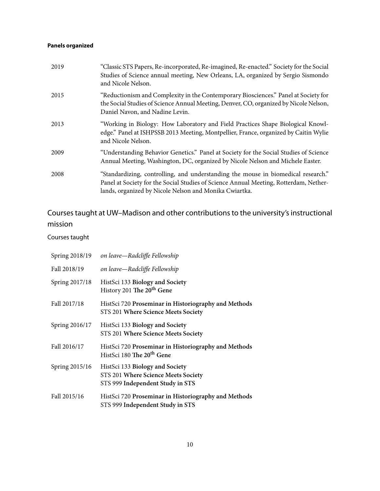## **Panels organized**

| 2019 | "Classic STS Papers, Re-incorporated, Re-imagined, Re-enacted." Society for the Social<br>Studies of Science annual meeting, New Orleans, LA, organized by Sergio Sismondo<br>and Nicole Nelson.                                     |
|------|--------------------------------------------------------------------------------------------------------------------------------------------------------------------------------------------------------------------------------------|
| 2015 | "Reductionism and Complexity in the Contemporary Biosciences." Panel at Society for<br>the Social Studies of Science Annual Meeting, Denver, CO, organized by Nicole Nelson,<br>Daniel Navon, and Nadine Levin.                      |
| 2013 | "Working in Biology: How Laboratory and Field Practices Shape Biological Knowl-<br>edge." Panel at ISHPSSB 2013 Meeting, Montpellier, France, organized by Caitin Wylie<br>and Nicole Nelson.                                        |
| 2009 | "Understanding Behavior Genetics." Panel at Society for the Social Studies of Science<br>Annual Meeting, Washington, DC, organized by Nicole Nelson and Michele Easter.                                                              |
| 2008 | "Standardizing, controlling, and understanding the mouse in biomedical research."<br>Panel at Society for the Social Studies of Science Annual Meeting, Rotterdam, Nether-<br>lands, organized by Nicole Nelson and Monika Cwiartka. |

# Courses taught at UW–Madison and other contributions to the university's instructional mission

Courses taught

| Spring 2018/19 | on leave—Radcliffe Fellowship                                                                              |
|----------------|------------------------------------------------------------------------------------------------------------|
| Fall 2018/19   | on leave—Radcliffe Fellowship                                                                              |
| Spring 2017/18 | HistSci 133 Biology and Society<br>History 201 The 20 <sup>th</sup> Gene                                   |
| Fall 2017/18   | HistSci 720 Proseminar in Historiography and Methods<br>STS 201 Where Science Meets Society                |
| Spring 2016/17 | HistSci 133 Biology and Society<br>STS 201 Where Science Meets Society                                     |
| Fall 2016/17   | HistSci 720 Proseminar in Historiography and Methods<br>HistSci 180 The 20 <sup>th</sup> Gene              |
| Spring 2015/16 | HistSci 133 Biology and Society<br>STS 201 Where Science Meets Society<br>STS 999 Independent Study in STS |
| Fall 2015/16   | HistSci 720 Proseminar in Historiography and Methods<br>STS 999 Independent Study in STS                   |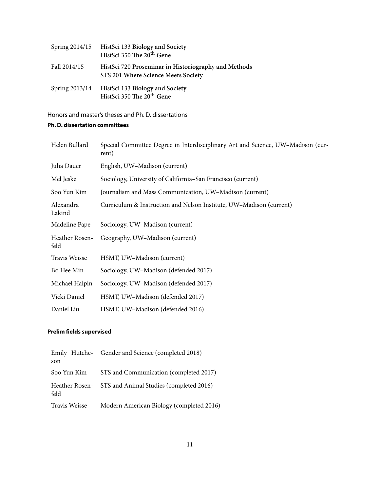|                | Spring 2014/15 HistSci 133 Biology and Society<br>HistSci 350 The 20 <sup>th</sup> Gene     |
|----------------|---------------------------------------------------------------------------------------------|
| Fall 2014/15   | HistSci 720 Proseminar in Historiography and Methods<br>STS 201 Where Science Meets Society |
| Spring 2013/14 | HistSci 133 Biology and Society<br>HistSci 350 The 20 <sup>th</sup> Gene                    |

Honors and master's theses and Ph. D. dissertations **Ph. D. dissertation committees**

| Helen Bullard          | Special Committee Degree in Interdisciplinary Art and Science, UW-Madison (cur-<br>rent) |
|------------------------|------------------------------------------------------------------------------------------|
| Julia Dauer            | English, UW-Madison (current)                                                            |
| Mel Jeske              | Sociology, University of California–San Francisco (current)                              |
| Soo Yun Kim            | Journalism and Mass Communication, UW-Madison (current)                                  |
| Alexandra<br>Lakind    | Curriculum & Instruction and Nelson Institute, UW-Madison (current)                      |
| Madeline Pape          | Sociology, UW-Madison (current)                                                          |
| Heather Rosen-<br>feld | Geography, UW-Madison (current)                                                          |
| Travis Weisse          | HSMT, UW-Madison (current)                                                               |
| Bo Hee Min             | Sociology, UW-Madison (defended 2017)                                                    |
| Michael Halpin         | Sociology, UW-Madison (defended 2017)                                                    |
| Vicki Daniel           | HSMT, UW-Madison (defended 2017)                                                         |
| Daniel Liu             | HSMT, UW-Madison (defended 2016)                                                         |

### **Prelim fields supervised**

|               | Emily Hutche- Gender and Science (completed 2018)      |
|---------------|--------------------------------------------------------|
| son           |                                                        |
| Soo Yun Kim   | STS and Communication (completed 2017)                 |
| feld          | Heather Rosen- STS and Animal Studies (completed 2016) |
| Travis Weisse | Modern American Biology (completed 2016)               |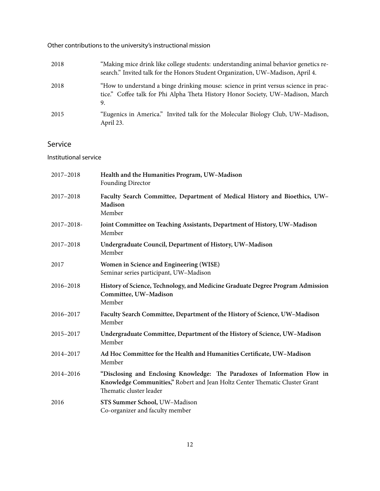Other contributions to the university's instructional mission

| 2018 | "Making mice drink like college students: understanding animal behavior genetics re-<br>search." Invited talk for the Honors Student Organization, UW-Madison, April 4.      |
|------|------------------------------------------------------------------------------------------------------------------------------------------------------------------------------|
| 2018 | "How to understand a binge drinking mouse: science in print versus science in prac-<br>tice." Coffee talk for Phi Alpha Theta History Honor Society, UW-Madison, March<br>9. |
| 2015 | "Eugenics in America." Invited talk for the Molecular Biology Club, UW-Madison,<br>April 23.                                                                                 |

# Service

Institutional service

| 2017-2018  | Health and the Humanities Program, UW-Madison<br>Founding Director                                                                                                                  |
|------------|-------------------------------------------------------------------------------------------------------------------------------------------------------------------------------------|
| 2017-2018  | Faculty Search Committee, Department of Medical History and Bioethics, UW-<br>Madison<br>Member                                                                                     |
| 2017-2018- | Joint Committee on Teaching Assistants, Department of History, UW-Madison<br>Member                                                                                                 |
| 2017-2018  | Undergraduate Council, Department of History, UW-Madison<br>Member                                                                                                                  |
| 2017       | Women in Science and Engineering (WISE)<br>Seminar series participant, UW-Madison                                                                                                   |
| 2016-2018  | History of Science, Technology, and Medicine Graduate Degree Program Admission<br>Committee, UW-Madison<br>Member                                                                   |
| 2016-2017  | Faculty Search Committee, Department of the History of Science, UW-Madison<br>Member                                                                                                |
| 2015-2017  | Undergraduate Committee, Department of the History of Science, UW-Madison<br>Member                                                                                                 |
| 2014-2017  | Ad Hoc Committee for the Health and Humanities Certificate, UW-Madison<br>Member                                                                                                    |
| 2014-2016  | "Disclosing and Enclosing Knowledge: The Paradoxes of Information Flow in<br>Knowledge Communities," Robert and Jean Holtz Center Thematic Cluster Grant<br>Thematic cluster leader |
| 2016       | STS Summer School, UW-Madison<br>Co-organizer and faculty member                                                                                                                    |